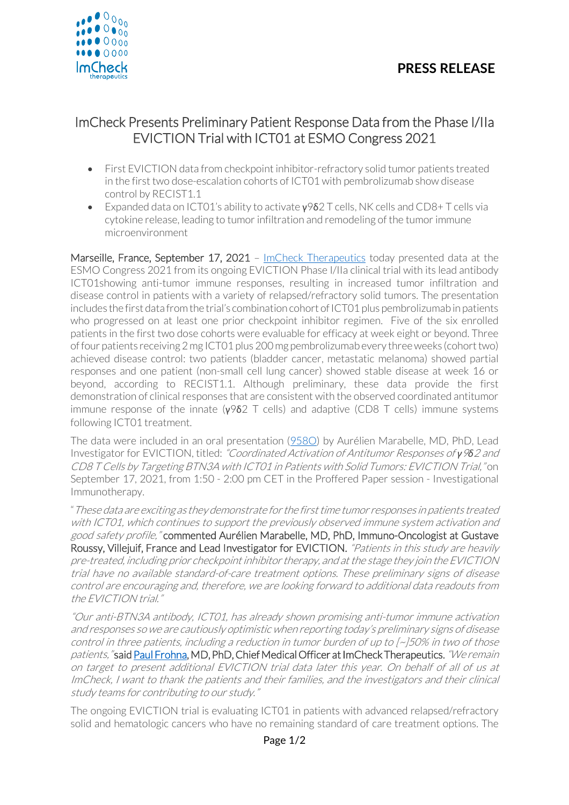



## ImCheck Presents Preliminary Patient Response Data from the Phase I/IIa EVICTION Trial with ICT01 at ESMO Congress 2021

- First EVICTION data from checkpoint inhibitor-refractory solid tumor patients treated in the first two dose-escalation cohorts of ICT01 with pembrolizumab show disease control by RECIST1.1
- Expanded data on ICT01's ability to activate  $\gamma$ 9δ2 T cells, NK cells and CD8+ T cells via cytokine release, leading to tumor infiltration and remodeling of the tumor immune microenvironment

Marseille, France, September 17, 2021 - [ImCheck Therapeutics](https://www.imchecktherapeutics.com/) today presented data at the ESMO Congress 2021 from its ongoing EVICTION Phase I/IIa clinical trial with its lead antibody ICT01showing anti-tumor immune responses, resulting in increased tumor infiltration and disease control in patients with a variety of relapsed/refractory solid tumors. The presentation includes the first data from the trial's combination cohort of ICT01 plus pembrolizumab in patients who progressed on at least one prior checkpoint inhibitor regimen. Five of the six enrolled patients in the first two dose cohorts were evaluable for efficacy at week eight or beyond. Three of four patients receiving 2 mg ICT01 plus 200 mg pembrolizumab every three weeks (cohort two) achieved disease control: two patients (bladder cancer, metastatic melanoma) showed partial responses and one patient (non-small cell lung cancer) showed stable disease at week 16 or beyond, according to RECIST1.1. Although preliminary, these data provide the first demonstration of clinical responses that are consistent with the observed coordinated antitumor immune response of the innate ( $\gamma$ 962 T cells) and adaptive (CD8 T cells) immune systems following ICT01 treatment.

The data were included in an oral presentation [\(958O\)](https://www.imchecktherapeutics.com/fileadmin/Posters/ESMO-Congress-2021-EVICTION_Trial__final_.pdf) by Aurélien Marabelle, MD, PhD, Lead Investigator for EVICTION, titled: "Coordinated Activation of Antitumor Responses of *γ*9*δ*<sup>2</sup> and CD8 T Cells by Targeting BTN3A with ICT01 in Patients with Solid Tumors: EVICTION Trial," on September 17, 2021, from 1:50 - 2:00 pm CET in the Proffered Paper session - Investigational Immunotherapy.

"These data are exciting as they demonstrate for the first time tumor responses in patients treated with ICT01, which continues to support the previously observed immune system activation and good safety profile," commented Aurélien Marabelle, MD, PhD, Immuno-Oncologist at Gustave Roussy, Villejuif, France and Lead Investigator for EVICTION. "Patients in this study are heavily pre-treated, including prior checkpoint inhibitor therapy, and at the stage they join the EVICTION trial have no available standard-of-care treatment options. These preliminary signs of disease control are encouraging and, therefore, we are looking forward to additional data readouts from the EVICTION trial."

"Our anti-BTN3A antibody, ICT01, has already shown promising anti-tumor immune activation and responses so we are cautiously optimistic when reporting today's preliminary signs of disease control in three patients, including a reduction in tumor burden of up to [~]50% in two of those patients, "sai[d Paul Frohna,](https://www.imchecktherapeutics.com/profile/144/) MD, PhD, Chief Medical Officer at ImCheck Therapeutics. "We remain on target to present additional EVICTION trial data later this year. On behalf of all of us at ImCheck, I want to thank the patients and their families, and the investigators and their clinical study teams for contributing to our study."

The ongoing EVICTION trial is evaluating ICT01 in patients with advanced relapsed/refractory solid and hematologic cancers who have no remaining standard of care treatment options. The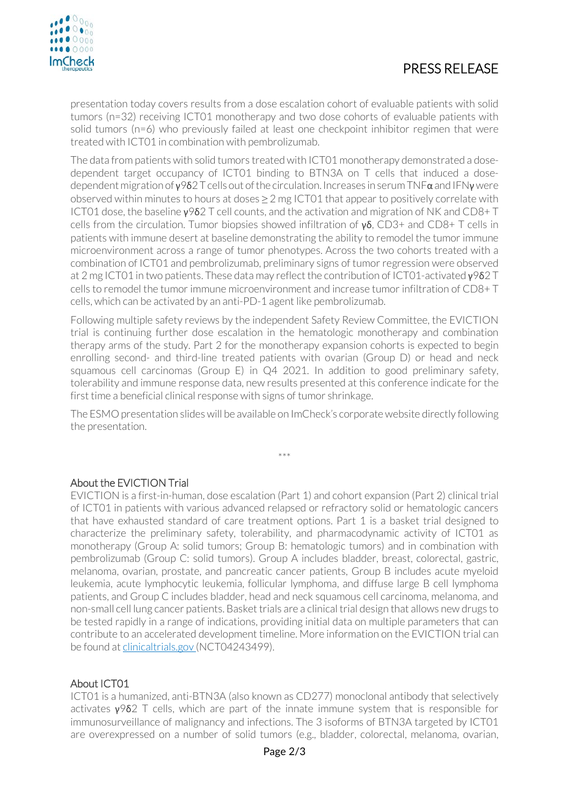# PRESS RELEASE



presentation today covers results from a dose escalation cohort of evaluable patients with solid tumors (n=32) receiving ICT01 monotherapy and two dose cohorts of evaluable patients with solid tumors (n=6) who previously failed at least one checkpoint inhibitor regimen that were treated with ICT01 in combination with pembrolizumab.

The data from patients with solid tumors treated with ICT01 monotherapy demonstrated a dosedependent target occupancy of ICT01 binding to BTN3A on T cells that induced a dosedependent migration of  $\gamma$ 9δ2 T cells out of the circulation. Increases in serum TNF $\alpha$  and IFN $\gamma$  were observed within minutes to hours at doses  $\geq 2$  mg ICT01 that appear to positively correlate with ICT01 dose, the baseline γ9δ2 T cell counts, and the activation and migration of NK and CD8+ T cells from the circulation. Tumor biopsies showed infiltration of  $\gamma \delta$ , CD3+ and CD8+ T cells in patients with immune desert at baseline demonstrating the ability to remodel the tumor immune microenvironment across a range of tumor phenotypes. Across the two cohorts treated with a combination of ICT01 and pembrolizumab, preliminary signs of tumor regression were observed at 2 mg ICT01 in two patients. These data may reflect the contribution of ICT01-activated γ9δ2 T cells to remodel the tumor immune microenvironment and increase tumor infiltration of CD8+ T cells, which can be activated by an anti-PD-1 agent like pembrolizumab.

Following multiple safety reviews by the independent Safety Review Committee, the EVICTION trial is continuing further dose escalation in the hematologic monotherapy and combination therapy arms of the study. Part 2 for the monotherapy expansion cohorts is expected to begin enrolling second- and third-line treated patients with ovarian (Group D) or head and neck squamous cell carcinomas (Group E) in Q4 2021. In addition to good preliminary safety, tolerability and immune response data, new results presented at this conference indicate for the first time a beneficial clinical response with signs of tumor shrinkage.

The ESMO presentation slides will be available on ImCheck's corporate website directly following the presentation.

\*\*\*

### About the EVICTION Trial

EVICTION is a first-in-human, dose escalation (Part 1) and cohort expansion (Part 2) clinical trial of ICT01 in patients with various advanced relapsed or refractory solid or hematologic cancers that have exhausted standard of care treatment options. Part 1 is a basket trial designed to characterize the preliminary safety, tolerability, and pharmacodynamic activity of ICT01 as monotherapy (Group A: solid tumors; Group B: hematologic tumors) and in combination with pembrolizumab (Group C: solid tumors). Group A includes bladder, breast, colorectal, gastric, melanoma, ovarian, prostate, and pancreatic cancer patients, Group B includes acute myeloid leukemia, acute lymphocytic leukemia, follicular lymphoma, and diffuse large B cell lymphoma patients, and Group C includes bladder, head and neck squamous cell carcinoma, melanoma, and non-small cell lung cancer patients. Basket trials are a clinical trial design that allows new drugs to be tested rapidly in a range of indications, providing initial data on multiple parameters that can contribute to an accelerated development timeline. More information on the EVICTION trial can be found a[t clinicaltrials.gov](https://www.clinicaltrials.gov/ct2/show/NCT04243499) (NCT04243499).

### About ICT01

ICT01 is a humanized, anti-BTN3A (also known as CD277) monoclonal antibody that selectively activates  $γ$ 9δ2 T cells, which are part of the innate immune system that is responsible for immunosurveillance of malignancy and infections. The 3 isoforms of BTN3A targeted by ICT01 are overexpressed on a number of solid tumors (e.g., bladder, colorectal, melanoma, ovarian,